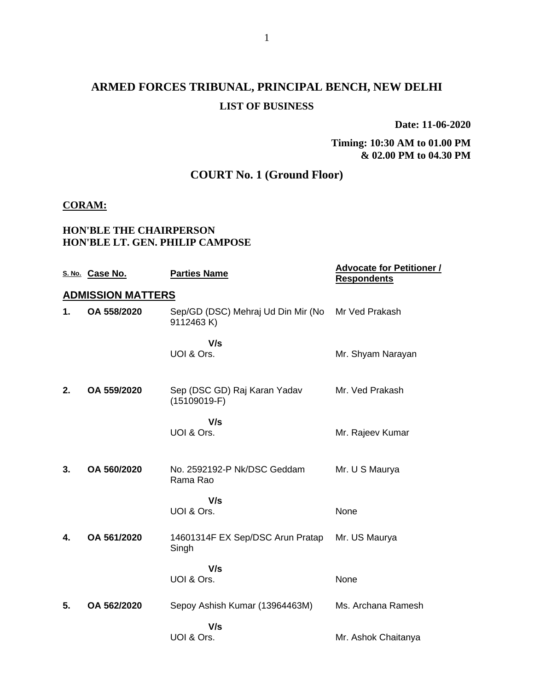# **ARMED FORCES TRIBUNAL, PRINCIPAL BENCH, NEW DELHI LIST OF BUSINESS**

**Date: 11-06-2020**

**Timing: 10:30 AM to 01.00 PM & 02.00 PM to 04.30 PM**

# **COURT No. 1 (Ground Floor)**

#### **CORAM:**

### **HON'BLE THE CHAIRPERSON HON'BLE LT. GEN. PHILIP CAMPOSE**

|    | S. No. Case No.          | <b>Parties Name</b>                             | <b>Advocate for Petitioner /</b><br><b>Respondents</b> |
|----|--------------------------|-------------------------------------------------|--------------------------------------------------------|
|    | <b>ADMISSION MATTERS</b> |                                                 |                                                        |
| 1. | OA 558/2020              | Sep/GD (DSC) Mehraj Ud Din Mir (No<br>9112463K) | Mr Ved Prakash                                         |
|    |                          | V/s                                             |                                                        |
|    |                          | UOI & Ors.                                      | Mr. Shyam Narayan                                      |
| 2. | OA 559/2020              | Sep (DSC GD) Raj Karan Yadav<br>$(15109019-F)$  | Mr. Ved Prakash                                        |
|    |                          | V/s<br>UOI & Ors.                               | Mr. Rajeev Kumar                                       |
| 3. | OA 560/2020              | No. 2592192-P Nk/DSC Geddam<br>Rama Rao         | Mr. U S Maurya                                         |
|    |                          | V/s<br>UOI & Ors.                               | None                                                   |
|    |                          |                                                 |                                                        |
| 4. | OA 561/2020              | 14601314F EX Sep/DSC Arun Pratap<br>Singh       | Mr. US Maurya                                          |
|    |                          | V/s                                             |                                                        |
|    |                          | UOI & Ors.                                      | None                                                   |
| 5. | OA 562/2020              | Sepoy Ashish Kumar (13964463M)                  | Ms. Archana Ramesh                                     |
|    |                          | V/s                                             |                                                        |
|    |                          | UOI & Ors.                                      | Mr. Ashok Chaitanya                                    |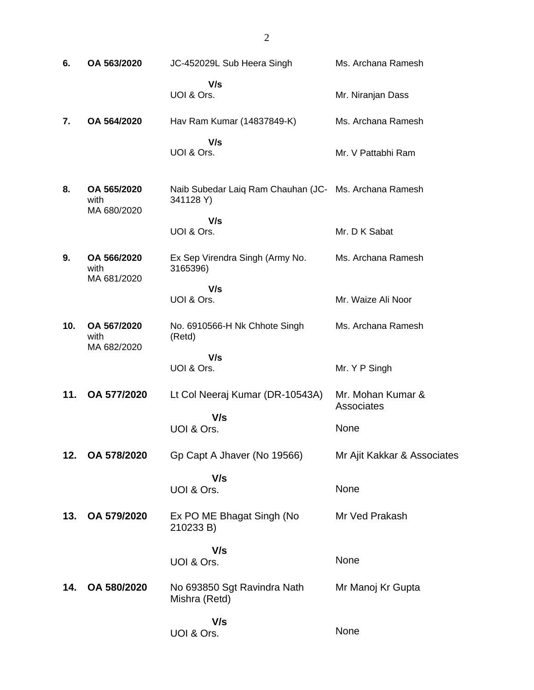**6. OA 563/2020** JC-452029L Sub Heera Singh  **V/s** UOI & Ors. Ms. Archana Ramesh Mr. Niranjan Dass **7. OA 564/2020** Hav Ram Kumar (14837849-K)  **V/s** UOI & Ors. Ms. Archana Ramesh Mr. V Pattabhi Ram **8. OA 565/2020** with MA 680/2020 Naib Subedar Laiq Ram Chauhan (JC-Ms. Archana Ramesh 341128 Y)  **V/s** UOI & Ors. Mr. D K Sabat **9. OA 566/2020** with MA 681/2020 Ex Sep Virendra Singh (Army No. 3165396)  **V/s** UOI & Ors. Ms. Archana Ramesh Mr. Waize Ali Noor **10. OA 567/2020** with MA 682/2020 No. 6910566-H Nk Chhote Singh (Retd)  **V/s** UOI & Ors. Ms. Archana Ramesh Mr. Y P Singh **11. OA 577/2020** Lt Col Neeraj Kumar (DR-10543A)  **V/s** UOI & Ors. Mr. Mohan Kumar & **Associates** None **12. OA 578/2020** Gp Capt A Jhaver (No 19566)  **V/s** UOI & Ors. Mr Ajit Kakkar & Associates None **13. OA 579/2020** Ex PO ME Bhagat Singh (No 210233 B)  **V/s** UOI & Ors. Mr Ved Prakash None **14. OA 580/2020** No 693850 Sgt Ravindra Nath Mishra (Retd)  **V/s** UOI & Ors. Mr Manoj Kr Gupta None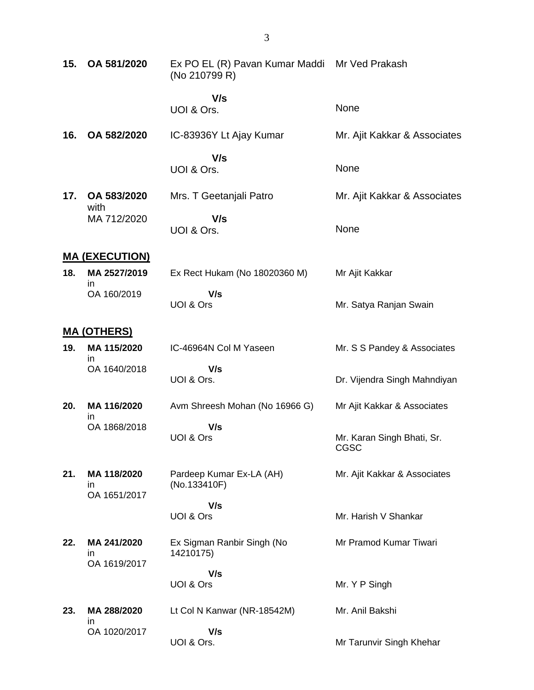| 15. | OA 581/2020                       | Ex PO EL (R) Pavan Kumar Maddi Mr Ved Prakash<br>(No 210799 R) |                                    |
|-----|-----------------------------------|----------------------------------------------------------------|------------------------------------|
|     |                                   | V/s<br>UOI & Ors.                                              | None                               |
| 16. | OA 582/2020                       | IC-83936Y Lt Ajay Kumar                                        | Mr. Ajit Kakkar & Associates       |
|     |                                   | V/s<br>UOI & Ors.                                              | None                               |
| 17. | OA 583/2020<br>with               | Mrs. T Geetanjali Patro                                        | Mr. Ajit Kakkar & Associates       |
|     | MA 712/2020                       | V/s<br>UOI & Ors.                                              | None                               |
|     | <b>MA (EXECUTION)</b>             |                                                                |                                    |
| 18. | MA 2527/2019                      | Ex Rect Hukam (No 18020360 M)                                  | Mr Ajit Kakkar                     |
|     | ın<br>OA 160/2019                 | V/s<br>UOI & Ors                                               | Mr. Satya Ranjan Swain             |
|     | <u>MA (OTHERS)</u>                |                                                                |                                    |
| 19. | MA 115/2020                       | IC-46964N Col M Yaseen                                         | Mr. S S Pandey & Associates        |
|     | ın<br>OA 1640/2018                | V/s<br>UOI & Ors.                                              | Dr. Vijendra Singh Mahndiyan       |
| 20. | MA 116/2020                       | Avm Shreesh Mohan (No 16966 G)                                 | Mr Ajit Kakkar & Associates        |
|     | ın<br>OA 1868/2018                | V/s<br>UOI & Ors                                               | Mr. Karan Singh Bhati, Sr.<br>CGSC |
| 21. | MA 118/2020<br>ın<br>OA 1651/2017 | Pardeep Kumar Ex-LA (AH)<br>(No.133410F)                       | Mr. Ajit Kakkar & Associates       |
|     |                                   | V/s<br>UOI & Ors                                               | Mr. Harish V Shankar               |
| 22. | MA 241/2020<br>in<br>OA 1619/2017 | Ex Sigman Ranbir Singh (No<br>14210175)                        | Mr Pramod Kumar Tiwari             |
|     |                                   | V/s                                                            |                                    |
|     |                                   | UOI & Ors                                                      | Mr. Y P Singh                      |
| 23. | MA 288/2020<br>in                 | Lt Col N Kanwar (NR-18542M)                                    | Mr. Anil Bakshi                    |
|     | OA 1020/2017                      | V/s<br>UOI & Ors.                                              | Mr Tarunvir Singh Khehar           |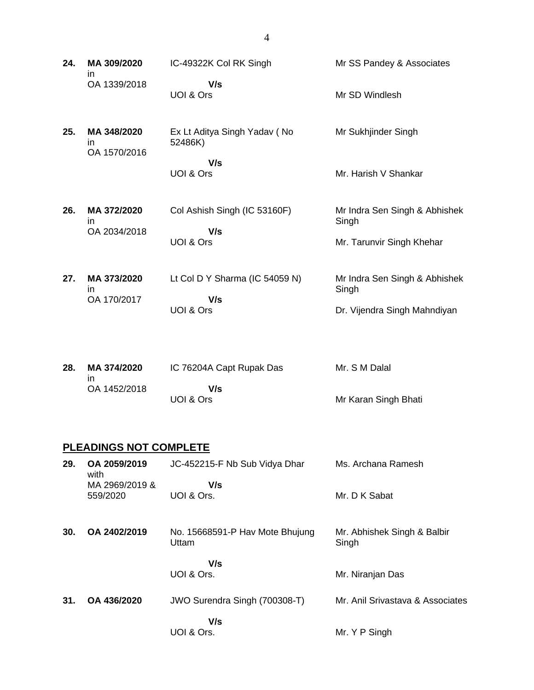**24. MA 309/2020** in OA 1339/2018 IC-49322K Col RK Singh  **V/s** UOI & Ors Mr SS Pandey & Associates Mr SD Windlesh **25. MA 348/2020** in OA 1570/2016 Ex Lt Aditya Singh Yadav ( No 52486K)  **V/s** UOI & Ors Mr Sukhjinder Singh Mr. Harish V Shankar **26. MA 372/2020** in OA 2034/2018 Col Ashish Singh (IC 53160F)  **V/s** UOI & Ors Mr Indra Sen Singh & Abhishek Singh Mr. Tarunvir Singh Khehar **27. MA 373/2020** in OA 170/2017 Lt Col D Y Sharma (IC 54059 N)  **V/s** UOI & Ors Mr Indra Sen Singh & Abhishek Singh Dr. Vijendra Singh Mahndiyan

| 28. | MA 374/2020  | IC 76204A Capt Rupak Das | Mr. S M Dalal        |
|-----|--------------|--------------------------|----------------------|
|     | OA 1452/2018 | V/s                      |                      |
|     |              | UOI & Ors                | Mr Karan Singh Bhati |

### **PLEADINGS NOT COMPLETE**

| 29. | OA 2059/2019<br>with       | JC-452215-F Nb Sub Vidya Dhar            | Ms. Archana Ramesh                   |
|-----|----------------------------|------------------------------------------|--------------------------------------|
|     | MA 2969/2019 &<br>559/2020 | V/s<br>UOI & Ors.                        | Mr. D K Sabat                        |
| 30. | OA 2402/2019               | No. 15668591-P Hav Mote Bhujung<br>Uttam | Mr. Abhishek Singh & Balbir<br>Singh |
|     |                            | V/s<br>UOI & Ors.                        | Mr. Niranjan Das                     |
| 31. | OA 436/2020                | JWO Surendra Singh (700308-T)            | Mr. Anil Srivastava & Associates     |
|     |                            | V/s<br>UOI & Ors.                        | Mr. Y P Singh                        |

4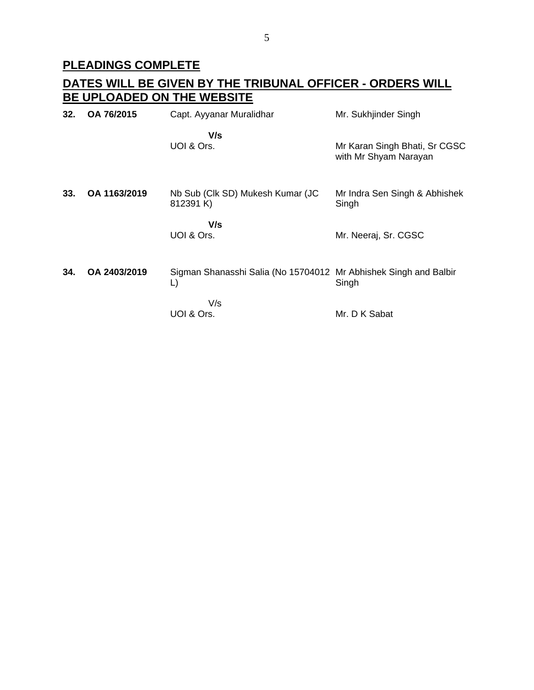# **PLEADINGS COMPLETE**

# **DATES WILL BE GIVEN BY THE TRIBUNAL OFFICER - ORDERS WILL BE UPLOADED ON THE WEBSITE**

| 32. | OA 76/2015   | Capt. Ayyanar Muralidhar                                               | Mr. Sukhjinder Singh                                   |
|-----|--------------|------------------------------------------------------------------------|--------------------------------------------------------|
|     |              | V/s<br>UOI & Ors.                                                      | Mr Karan Singh Bhati, Sr CGSC<br>with Mr Shyam Narayan |
| 33. | OA 1163/2019 | Nb Sub (Clk SD) Mukesh Kumar (JC<br>812391 K)                          | Mr Indra Sen Singh & Abhishek<br>Singh                 |
|     |              | V/s<br>UOI & Ors.                                                      | Mr. Neeraj, Sr. CGSC                                   |
| 34. | OA 2403/2019 | Sigman Shanasshi Salia (No 15704012 Mr Abhishek Singh and Balbir<br>L) | Singh                                                  |
|     |              | V/s<br>UOI & Ors.                                                      | Mr. D K Sabat                                          |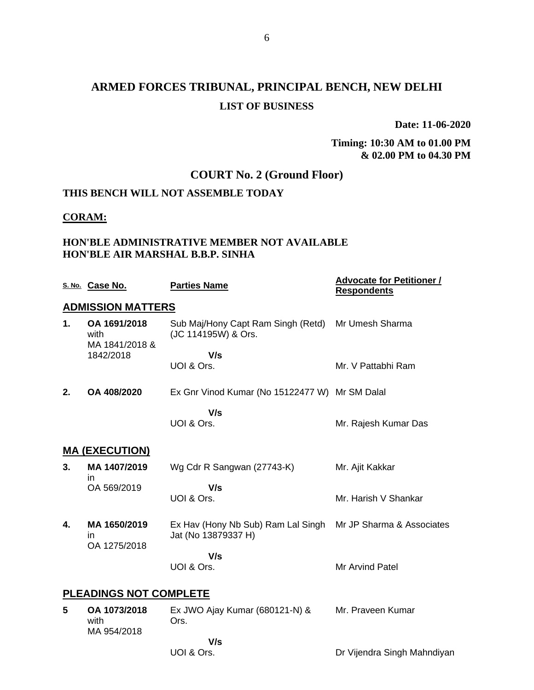**Date: 11-06-2020**

**Timing: 10:30 AM to 01.00 PM & 02.00 PM to 04.30 PM**

# **COURT No. 2 (Ground Floor)**

### **THIS BENCH WILL NOT ASSEMBLE TODAY**

#### **CORAM:**

### **HON'BLE ADMINISTRATIVE MEMBER NOT AVAILABLE HON'BLE AIR MARSHAL B.B.P. SINHA**

|    | S. No. Case No.                        | <b>Parties Name</b>                                       | <u><b>Advocate for Petitioner /</b></u><br><b>Respondents</b> |
|----|----------------------------------------|-----------------------------------------------------------|---------------------------------------------------------------|
|    | <b>ADMISSION MATTERS</b>               |                                                           |                                                               |
| 1. | OA 1691/2018<br>with<br>MA 1841/2018 & | Sub Maj/Hony Capt Ram Singh (Retd)<br>(JC 114195W) & Ors. | Mr Umesh Sharma                                               |
|    | 1842/2018                              | V/s<br>UOI & Ors.                                         | Mr. V Pattabhi Ram                                            |
| 2. | OA 408/2020                            | Ex Gnr Vinod Kumar (No 15122477 W) Mr SM Dalal            |                                                               |
|    |                                        | V/s<br>UOI & Ors.                                         | Mr. Rajesh Kumar Das                                          |
|    | <b>MA (EXECUTION)</b>                  |                                                           |                                                               |
| 3. | MA 1407/2019<br>ın                     | Wg Cdr R Sangwan (27743-K)                                | Mr. Ajit Kakkar                                               |
|    | OA 569/2019                            | V/s<br>UOI & Ors.                                         | Mr. Harish V Shankar                                          |
| 4. | MA 1650/2019<br>in<br>OA 1275/2018     | Ex Hav (Hony Nb Sub) Ram Lal Singh<br>Jat (No 13879337 H) | Mr JP Sharma & Associates                                     |
|    |                                        | V/s<br>UOI & Ors.                                         | Mr Arvind Patel                                               |
|    | <b>PLEADINGS NOT COMPLETE</b>          |                                                           |                                                               |
| 5  | OA 1073/2018<br>with<br>MA 954/2018    | Ex JWO Ajay Kumar (680121-N) &<br>Ors.                    | Mr. Praveen Kumar                                             |
|    |                                        | V/s                                                       |                                                               |
|    |                                        | UOI & Ors.                                                | Dr Vijendra Singh Mahndiyan                                   |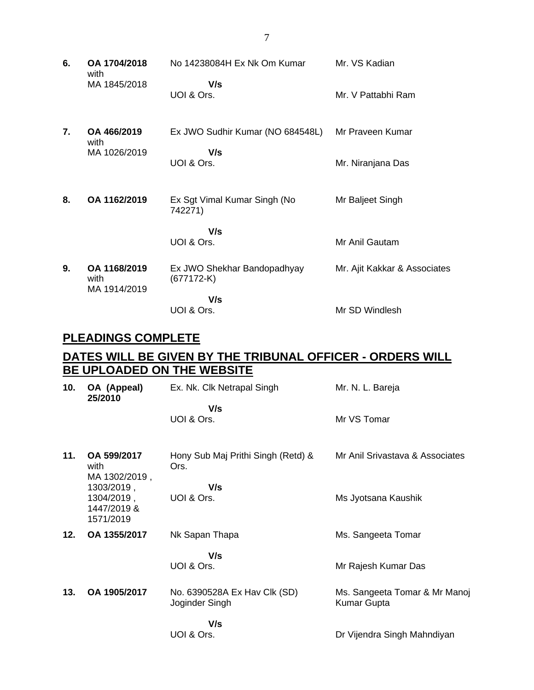**6. OA 1704/2018** with MA 1845/2018 No 14238084H Ex Nk Om Kumar  **V/s** UOI & Ors. Mr. VS Kadian Mr. V Pattabhi Ram **7. OA 466/2019** with MA 1026/2019 Ex JWO Sudhir Kumar (NO 684548L)  **V/s** UOI & Ors. Mr Praveen Kumar Mr. Niranjana Das **8. OA 1162/2019** Ex Sgt Vimal Kumar Singh (No 742271)  **V/s** UOI & Ors. Mr Baljeet Singh Mr Anil Gautam **9. OA 1168/2019** with MA 1914/2019 Ex JWO Shekhar Bandopadhyay (677172-K)  **V/s** UOI & Ors. Mr. Ajit Kakkar & Associates Mr SD Windlesh

### **PLEADINGS COMPLETE**

### **DATES WILL BE GIVEN BY THE TRIBUNAL OFFICER - ORDERS WILL BE UPLOADED ON THE WEBSITE**

| 10. | OA (Appeal)<br>25/2010                               | Ex. Nk. Clk Netrapal Singh                     | Mr. N. L. Bareja                             |
|-----|------------------------------------------------------|------------------------------------------------|----------------------------------------------|
|     |                                                      | V/s<br>UOI & Ors.                              | Mr VS Tomar                                  |
| 11. | OA 599/2017<br>with<br>MA 1302/2019,                 | Hony Sub Maj Prithi Singh (Retd) &<br>Ors.     | Mr Anil Srivastava & Associates              |
|     | 1303/2019,<br>1304/2019,<br>1447/2019 &<br>1571/2019 | V/s<br>UOI & Ors.                              | Ms Jyotsana Kaushik                          |
| 12. | OA 1355/2017                                         | Nk Sapan Thapa                                 | Ms. Sangeeta Tomar                           |
|     |                                                      | V/s<br>UOI & Ors.                              | Mr Rajesh Kumar Das                          |
| 13. | OA 1905/2017                                         | No. 6390528A Ex Hav Clk (SD)<br>Joginder Singh | Ms. Sangeeta Tomar & Mr Manoj<br>Kumar Gupta |
|     |                                                      | V/s<br>UOI & Ors.                              | Dr Vijendra Singh Mahndiyan                  |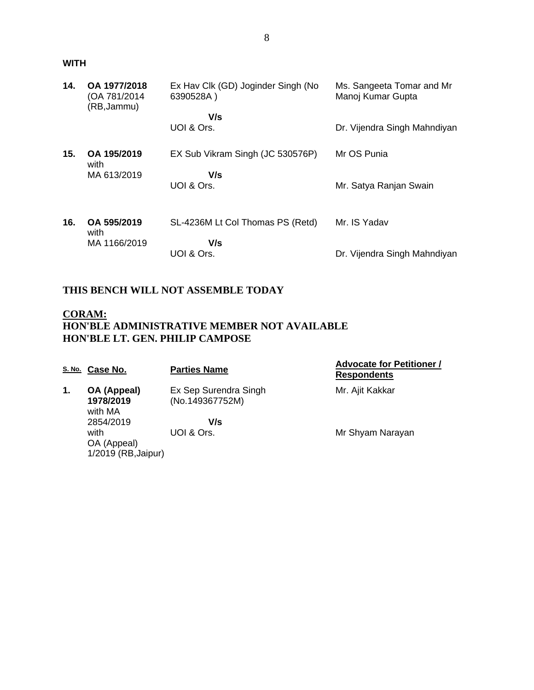#### **WITH**

| 14. | OA 1977/2018<br>(OA 781/2014)<br>(RB, Jammu) | Ex Hav Clk (GD) Joginder Singh (No<br>6390528A) | Ms. Sangeeta Tomar and Mr<br>Manoj Kumar Gupta |
|-----|----------------------------------------------|-------------------------------------------------|------------------------------------------------|
|     |                                              | V/s                                             |                                                |
|     |                                              | UOI & Ors.                                      | Dr. Vijendra Singh Mahndiyan                   |
| 15. | OA 195/2019<br>with                          | EX Sub Vikram Singh (JC 530576P)                | Mr OS Punia                                    |
|     | MA 613/2019                                  | V/s                                             |                                                |
|     |                                              | UOI & Ors.                                      | Mr. Satya Ranjan Swain                         |
|     |                                              |                                                 |                                                |
| 16. | OA 595/2019<br>with                          | SL-4236M Lt Col Thomas PS (Retd)                | Mr. IS Yadav                                   |
|     | MA 1166/2019                                 | V/s                                             |                                                |
|     |                                              | UOI & Ors.                                      | Dr. Vijendra Singh Mahndiyan                   |

# **THIS BENCH WILL NOT ASSEMBLE TODAY**

### **CORAM: HON'BLE ADMINISTRATIVE MEMBER NOT AVAILABLE HON'BLE LT. GEN. PHILIP CAMPOSE**

| <u>S. No.</u> | Case No.                                   | <b>Parties Name</b>                      | <b>Advocate for Petitioner /</b><br><b>Respondents</b> |
|---------------|--------------------------------------------|------------------------------------------|--------------------------------------------------------|
| 1.            | OA (Appeal)<br>1978/2019<br>with MA        | Ex Sep Surendra Singh<br>(No.149367752M) | Mr. Ajit Kakkar                                        |
|               | 2854/2019                                  | V/s                                      |                                                        |
|               | with<br>OA (Appeal)<br>1/2019 (RB, Jaipur) | UOI & Ors.                               | Mr Shyam Narayan                                       |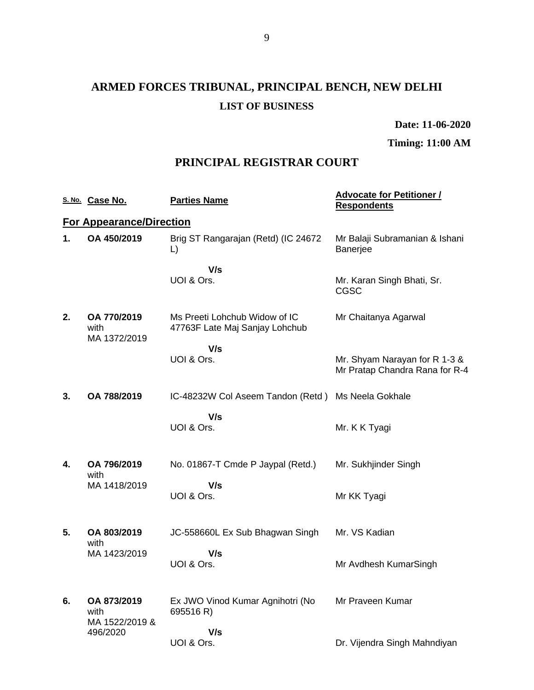# **ARMED FORCES TRIBUNAL, PRINCIPAL BENCH, NEW DELHI LIST OF BUSINESS**

**Date: 11-06-2020**

**Timing: 11:00 AM**

## **PRINCIPAL REGISTRAR COURT**

|    | S. No. Case No.                       | <b>Parties Name</b>                                             | <b>Advocate for Petitioner /</b><br><b>Respondents</b>          |
|----|---------------------------------------|-----------------------------------------------------------------|-----------------------------------------------------------------|
|    | <b>For Appearance/Direction</b>       |                                                                 |                                                                 |
| 1. | OA 450/2019                           | Brig ST Rangarajan (Retd) (IC 24672<br>L)                       | Mr Balaji Subramanian & Ishani<br>Banerjee                      |
|    |                                       | V/s<br>UOI & Ors.                                               | Mr. Karan Singh Bhati, Sr.<br><b>CGSC</b>                       |
| 2. | OA 770/2019<br>with<br>MA 1372/2019   | Ms Preeti Lohchub Widow of IC<br>47763F Late Maj Sanjay Lohchub | Mr Chaitanya Agarwal                                            |
|    |                                       | V/s<br>UOI & Ors.                                               | Mr. Shyam Narayan for R 1-3 &<br>Mr Pratap Chandra Rana for R-4 |
| 3. | OA 788/2019                           | IC-48232W Col Aseem Tandon (Retd) Ms Neela Gokhale              |                                                                 |
|    |                                       | V/s<br>UOI & Ors.                                               | Mr. K K Tyagi                                                   |
| 4. | OA 796/2019<br>with                   | No. 01867-T Cmde P Jaypal (Retd.)                               | Mr. Sukhjinder Singh                                            |
|    | MA 1418/2019                          | V/s<br>UOI & Ors.                                               | Mr KK Tyagi                                                     |
| 5. | OA 803/2019<br>with                   | JC-558660L Ex Sub Bhagwan Singh                                 | Mr. VS Kadian                                                   |
|    | MA 1423/2019                          | V/s<br>UOI & Ors.                                               | Mr Avdhesh KumarSingh                                           |
| 6. | OA 873/2019<br>with<br>MA 1522/2019 & | Ex JWO Vinod Kumar Agnihotri (No<br>695516 R)                   | Mr Praveen Kumar                                                |
|    | 496/2020                              | V/s<br>UOI & Ors.                                               | Dr. Vijendra Singh Mahndiyan                                    |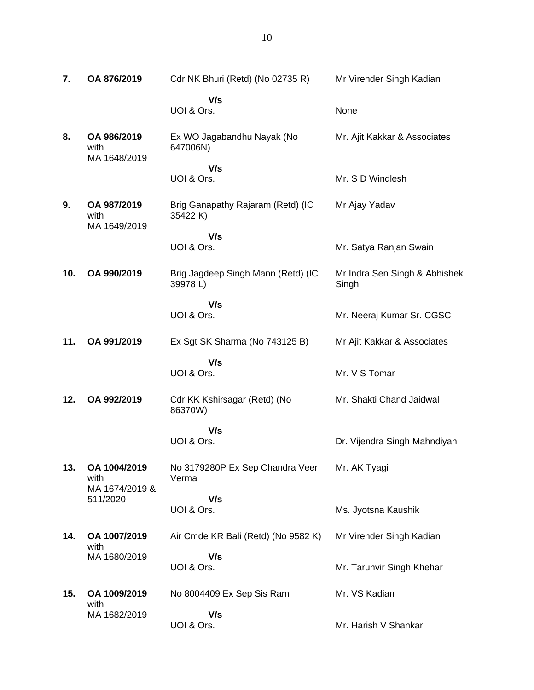| 7.  | OA 876/2019                            | Cdr NK Bhuri (Retd) (No 02735 R)              | Mr Virender Singh Kadian               |
|-----|----------------------------------------|-----------------------------------------------|----------------------------------------|
|     |                                        | V/s<br>UOI & Ors.                             | None                                   |
| 8.  | OA 986/2019<br>with<br>MA 1648/2019    | Ex WO Jagabandhu Nayak (No<br>647006N)        | Mr. Ajit Kakkar & Associates           |
|     |                                        | V/s<br>UOI & Ors.                             | Mr. S D Windlesh                       |
| 9.  | OA 987/2019<br>with<br>MA 1649/2019    | Brig Ganapathy Rajaram (Retd) (IC<br>35422 K) | Mr Ajay Yadav                          |
|     |                                        | V/s<br>UOI & Ors.                             | Mr. Satya Ranjan Swain                 |
| 10. | OA 990/2019                            | Brig Jagdeep Singh Mann (Retd) (IC<br>39978L) | Mr Indra Sen Singh & Abhishek<br>Singh |
|     |                                        | V/s<br>UOI & Ors.                             | Mr. Neeraj Kumar Sr. CGSC              |
| 11. | OA 991/2019                            | Ex Sgt SK Sharma (No 743125 B)                | Mr Ajit Kakkar & Associates            |
|     |                                        | V/s<br>UOI & Ors.                             | Mr. V S Tomar                          |
| 12. | OA 992/2019                            | Cdr KK Kshirsagar (Retd) (No<br>86370W)       | Mr. Shakti Chand Jaidwal               |
|     |                                        | V/s<br>UOI & Ors.                             | Dr. Vijendra Singh Mahndiyan           |
| 13. | OA 1004/2019<br>with<br>MA 1674/2019 & | No 3179280P Ex Sep Chandra Veer<br>Verma      | Mr. AK Tyagi                           |
|     | 511/2020                               | V/s<br>UOI & Ors.                             | Ms. Jyotsna Kaushik                    |
| 14. | OA 1007/2019<br>with                   | Air Cmde KR Bali (Retd) (No 9582 K)           | Mr Virender Singh Kadian               |
|     | MA 1680/2019                           | V/s<br>UOI & Ors.                             | Mr. Tarunvir Singh Khehar              |
| 15. | OA 1009/2019<br>with                   | No 8004409 Ex Sep Sis Ram                     | Mr. VS Kadian                          |
|     | MA 1682/2019                           | V/s<br>UOI & Ors.                             | Mr. Harish V Shankar                   |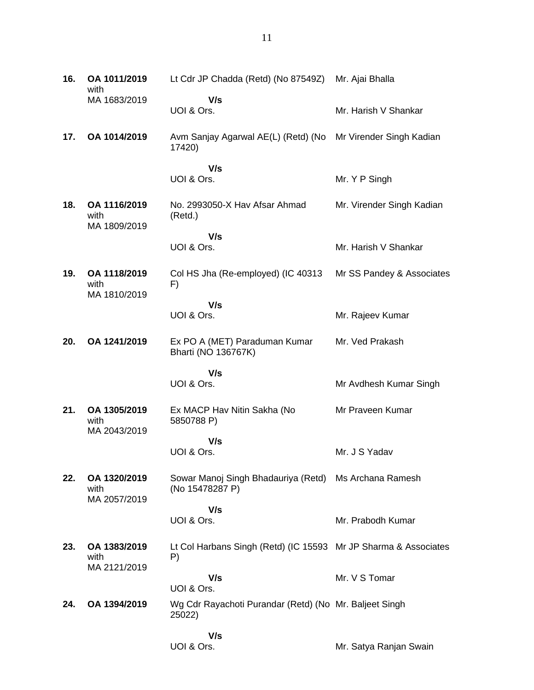| 16. | OA 1011/2019<br>with                 | Lt Cdr JP Chadda (Retd) (No 87549Z)                                      | Mr. Ajai Bhalla           |
|-----|--------------------------------------|--------------------------------------------------------------------------|---------------------------|
|     | MA 1683/2019                         | V/s<br>UOI & Ors.                                                        | Mr. Harish V Shankar      |
| 17. | OA 1014/2019                         | Avm Sanjay Agarwal AE(L) (Retd) (No<br>17420)                            | Mr Virender Singh Kadian  |
|     |                                      | V/s<br>UOI & Ors.                                                        | Mr. Y P Singh             |
| 18. | OA 1116/2019<br>with                 | No. 2993050-X Hav Afsar Ahmad<br>(Retd.)                                 | Mr. Virender Singh Kadian |
|     | MA 1809/2019                         | V/s<br>UOI & Ors.                                                        | Mr. Harish V Shankar      |
| 19. | OA 1118/2019<br>with<br>MA 1810/2019 | Col HS Jha (Re-employed) (IC 40313<br>F)                                 | Mr SS Pandey & Associates |
|     |                                      | V/s<br>UOI & Ors.                                                        | Mr. Rajeev Kumar          |
| 20. | OA 1241/2019                         | Ex PO A (MET) Paraduman Kumar<br>Bharti (NO 136767K)                     | Mr. Ved Prakash           |
|     |                                      | V/s<br>UOI & Ors.                                                        | Mr Avdhesh Kumar Singh    |
| 21. | OA 1305/2019<br>with<br>MA 2043/2019 | Ex MACP Hav Nitin Sakha (No<br>5850788 P)                                | Mr Praveen Kumar          |
|     |                                      | V/s<br>UOI & Ors.                                                        | Mr. J S Yadav             |
| 22. | OA 1320/2019<br>with<br>MA 2057/2019 | Sowar Manoj Singh Bhadauriya (Retd) Ms Archana Ramesh<br>(No 15478287 P) |                           |
|     |                                      | V/s<br>UOI & Ors.                                                        | Mr. Prabodh Kumar         |
| 23. | OA 1383/2019<br>with<br>MA 2121/2019 | Lt Col Harbans Singh (Retd) (IC 15593 Mr JP Sharma & Associates<br>P)    |                           |
|     |                                      | V/s                                                                      | Mr. V S Tomar             |
|     |                                      | UOI & Ors.                                                               |                           |
| 24. | OA 1394/2019                         | Wg Cdr Rayachoti Purandar (Retd) (No Mr. Baljeet Singh<br>25022)         |                           |

11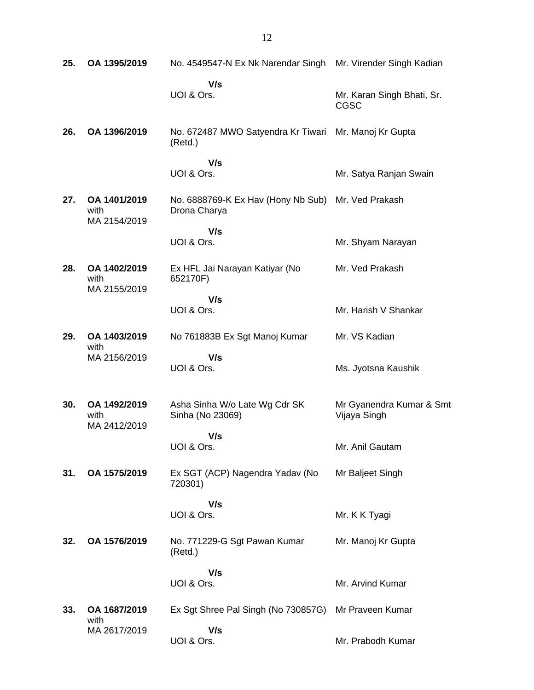| 25. | OA 1395/2019                         | No. 4549547-N Ex Nk Narendar Singh                 | Mr. Virender Singh Kadian                 |
|-----|--------------------------------------|----------------------------------------------------|-------------------------------------------|
|     |                                      | V/s<br>UOI & Ors.                                  | Mr. Karan Singh Bhati, Sr.<br><b>CGSC</b> |
| 26. | OA 1396/2019                         | No. 672487 MWO Satyendra Kr Tiwari<br>(Retd.)      | Mr. Manoj Kr Gupta                        |
|     |                                      | V/s<br>UOI & Ors.                                  | Mr. Satya Ranjan Swain                    |
| 27. | OA 1401/2019<br>with<br>MA 2154/2019 | No. 6888769-K Ex Hav (Hony Nb Sub)<br>Drona Charya | Mr. Ved Prakash                           |
|     |                                      | V/s<br>UOI & Ors.                                  | Mr. Shyam Narayan                         |
| 28. | OA 1402/2019<br>with<br>MA 2155/2019 | Ex HFL Jai Narayan Katiyar (No<br>652170F)         | Mr. Ved Prakash                           |
|     |                                      | V/s<br>UOI & Ors.                                  | Mr. Harish V Shankar                      |
| 29. | OA 1403/2019<br>with                 | No 761883B Ex Sgt Manoj Kumar                      | Mr. VS Kadian                             |
|     | MA 2156/2019                         | V/s<br>UOI & Ors.                                  | Ms. Jyotsna Kaushik                       |
| 30. | OA 1492/2019<br>with<br>MA 2412/2019 | Asha Sinha W/o Late Wg Cdr SK<br>Sinha (No 23069)  | Mr Gyanendra Kumar & Smt<br>Vijaya Singh  |
|     |                                      | V/s<br>UOI & Ors.                                  | Mr. Anil Gautam                           |
| 31. | OA 1575/2019                         | Ex SGT (ACP) Nagendra Yadav (No<br>720301)         | Mr Baljeet Singh                          |
|     |                                      | V/s<br>UOI & Ors.                                  | Mr. K K Tyagi                             |
| 32. | OA 1576/2019                         | No. 771229-G Sgt Pawan Kumar<br>(Retd.)            | Mr. Manoj Kr Gupta                        |
|     |                                      | V/s<br>UOI & Ors.                                  | Mr. Arvind Kumar                          |
| 33. | OA 1687/2019<br>with                 | Ex Sgt Shree Pal Singh (No 730857G)                | Mr Praveen Kumar                          |
|     | MA 2617/2019                         | V/s<br>UOI & Ors.                                  | Mr. Prabodh Kumar                         |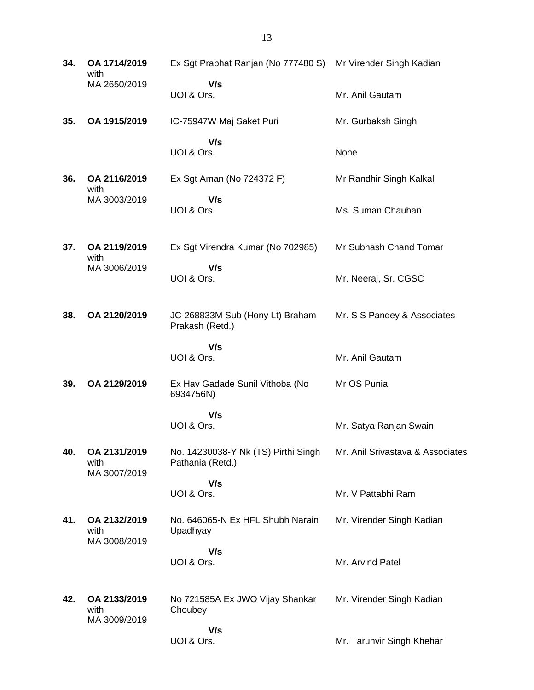| 34. | OA 1714/2019<br>with                 | Ex Sgt Prabhat Ranjan (No 777480 S) Mr Virender Singh Kadian |                                  |
|-----|--------------------------------------|--------------------------------------------------------------|----------------------------------|
|     | MA 2650/2019                         | V/s<br>UOI & Ors.                                            | Mr. Anil Gautam                  |
| 35. | OA 1915/2019                         | IC-75947W Maj Saket Puri                                     | Mr. Gurbaksh Singh               |
|     |                                      | V/s<br>UOI & Ors.                                            | None                             |
| 36. | OA 2116/2019<br>with                 | Ex Sgt Aman (No 724372 F)                                    | Mr Randhir Singh Kalkal          |
|     | MA 3003/2019                         | V/s<br>UOI & Ors.                                            | Ms. Suman Chauhan                |
| 37. | OA 2119/2019<br>with                 | Ex Sgt Virendra Kumar (No 702985)                            | Mr Subhash Chand Tomar           |
|     | MA 3006/2019                         | V/s<br>UOI & Ors.                                            | Mr. Neeraj, Sr. CGSC             |
| 38. | OA 2120/2019                         | JC-268833M Sub (Hony Lt) Braham<br>Prakash (Retd.)           | Mr. S S Pandey & Associates      |
|     |                                      | V/s<br>UOI & Ors.                                            | Mr. Anil Gautam                  |
| 39. | OA 2129/2019                         | Ex Hav Gadade Sunil Vithoba (No<br>6934756N)                 | Mr OS Punia                      |
|     |                                      | V/s<br>UOI & Ors.                                            | Mr. Satya Ranjan Swain           |
| 40. | OA 2131/2019<br>with<br>MA 3007/2019 | No. 14230038-Y Nk (TS) Pirthi Singh<br>Pathania (Retd.)      | Mr. Anil Srivastava & Associates |
|     |                                      | V/s<br>UOI & Ors.                                            | Mr. V Pattabhi Ram               |
| 41. | OA 2132/2019<br>with<br>MA 3008/2019 | No. 646065-N Ex HFL Shubh Narain<br>Upadhyay                 | Mr. Virender Singh Kadian        |
|     |                                      | V/s<br>UOI & Ors.                                            | Mr. Arvind Patel                 |
| 42. | OA 2133/2019<br>with<br>MA 3009/2019 | No 721585A Ex JWO Vijay Shankar<br>Choubey                   | Mr. Virender Singh Kadian        |
|     |                                      | V/s<br>UOI & Ors.                                            | Mr. Tarunvir Singh Khehar        |